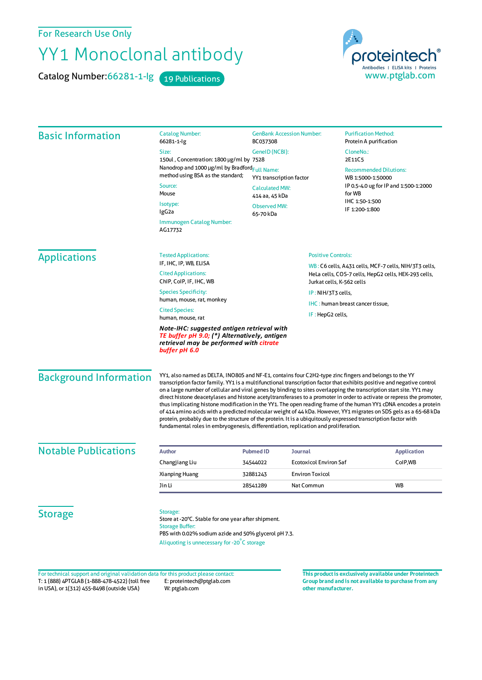For Research Use Only

## YY1 Monoclonal antibody

Catalog Number: 66281-1-Ig 19 Publications



| <b>Basic Information</b>      | <b>Catalog Number:</b><br>66281-1-lg                                                                                                                                                                                                                                                                                                                                                                                                                                                                                                                                                                                                                                                                                                                                                                                                                                                                                                | <b>GenBank Accession Number:</b><br>BC037308                                                            |                               | <b>Purification Method:</b><br>Protein A purification                                                                                                                   |                                |
|-------------------------------|-------------------------------------------------------------------------------------------------------------------------------------------------------------------------------------------------------------------------------------------------------------------------------------------------------------------------------------------------------------------------------------------------------------------------------------------------------------------------------------------------------------------------------------------------------------------------------------------------------------------------------------------------------------------------------------------------------------------------------------------------------------------------------------------------------------------------------------------------------------------------------------------------------------------------------------|---------------------------------------------------------------------------------------------------------|-------------------------------|-------------------------------------------------------------------------------------------------------------------------------------------------------------------------|--------------------------------|
|                               | Size:                                                                                                                                                                                                                                                                                                                                                                                                                                                                                                                                                                                                                                                                                                                                                                                                                                                                                                                               | GenelD (NCBI):                                                                                          |                               | CloneNo.:                                                                                                                                                               |                                |
|                               | 150ul, Concentration: 1800 µg/ml by 7528                                                                                                                                                                                                                                                                                                                                                                                                                                                                                                                                                                                                                                                                                                                                                                                                                                                                                            |                                                                                                         |                               | 2E11C5                                                                                                                                                                  |                                |
|                               | Nanodrop and 1000 µg/ml by Bradford <sub>Full Name:</sub>                                                                                                                                                                                                                                                                                                                                                                                                                                                                                                                                                                                                                                                                                                                                                                                                                                                                           | YY1 transcription factor<br><b>Calculated MW:</b><br>414 aa, 45 kDa<br><b>Observed MW:</b><br>65-70 kDa |                               | <b>Recommended Dilutions:</b><br>WB 1:5000-1:50000<br>IP 0.5-4.0 ug for IP and 1:500-1:2000<br>for WB<br>IHC 1:50-1:500<br>IF 1:200-1:800                               |                                |
|                               | method using BSA as the standard;                                                                                                                                                                                                                                                                                                                                                                                                                                                                                                                                                                                                                                                                                                                                                                                                                                                                                                   |                                                                                                         |                               |                                                                                                                                                                         |                                |
|                               | Source:<br>Mouse                                                                                                                                                                                                                                                                                                                                                                                                                                                                                                                                                                                                                                                                                                                                                                                                                                                                                                                    |                                                                                                         |                               |                                                                                                                                                                         |                                |
|                               |                                                                                                                                                                                                                                                                                                                                                                                                                                                                                                                                                                                                                                                                                                                                                                                                                                                                                                                                     |                                                                                                         |                               |                                                                                                                                                                         |                                |
|                               | Isotype:<br>IgG2a                                                                                                                                                                                                                                                                                                                                                                                                                                                                                                                                                                                                                                                                                                                                                                                                                                                                                                                   |                                                                                                         |                               |                                                                                                                                                                         |                                |
|                               | Immunogen Catalog Number:<br>AG17732                                                                                                                                                                                                                                                                                                                                                                                                                                                                                                                                                                                                                                                                                                                                                                                                                                                                                                |                                                                                                         |                               |                                                                                                                                                                         |                                |
| <b>Applications</b>           | <b>Tested Applications:</b>                                                                                                                                                                                                                                                                                                                                                                                                                                                                                                                                                                                                                                                                                                                                                                                                                                                                                                         |                                                                                                         |                               | <b>Positive Controls:</b><br>WB: C6 cells, A431 cells, MCF-7 cells, NIH/3T3 cells,<br>HeLa cells, COS-7 cells, HepG2 cells, HEK-293 cells,<br>Jurkat cells, K-562 cells |                                |
|                               | IF, IHC, IP, WB, ELISA                                                                                                                                                                                                                                                                                                                                                                                                                                                                                                                                                                                                                                                                                                                                                                                                                                                                                                              |                                                                                                         |                               |                                                                                                                                                                         |                                |
|                               | <b>Cited Applications:</b><br>ChIP, CoIP, IF, IHC, WB                                                                                                                                                                                                                                                                                                                                                                                                                                                                                                                                                                                                                                                                                                                                                                                                                                                                               |                                                                                                         |                               |                                                                                                                                                                         |                                |
|                               | <b>Species Specificity:</b><br>human, mouse, rat, monkey                                                                                                                                                                                                                                                                                                                                                                                                                                                                                                                                                                                                                                                                                                                                                                                                                                                                            |                                                                                                         | IP: NIH/3T3 cells,            |                                                                                                                                                                         |                                |
|                               |                                                                                                                                                                                                                                                                                                                                                                                                                                                                                                                                                                                                                                                                                                                                                                                                                                                                                                                                     |                                                                                                         |                               | IHC: human breast cancer tissue,                                                                                                                                        |                                |
|                               | <b>Cited Species:</b><br>human, mouse, rat                                                                                                                                                                                                                                                                                                                                                                                                                                                                                                                                                                                                                                                                                                                                                                                                                                                                                          | IF : HepG2 cells,                                                                                       |                               |                                                                                                                                                                         |                                |
|                               | TE buffer pH 9.0; (*) Alternatively, antigen<br>retrieval may be performed with citrate<br>buffer pH 6.0                                                                                                                                                                                                                                                                                                                                                                                                                                                                                                                                                                                                                                                                                                                                                                                                                            |                                                                                                         |                               |                                                                                                                                                                         |                                |
| <b>Background Information</b> | YY1, also named as DELTA, INO80S and NF-E1, contains four C2H2-type zinc fingers and belongs to the YY<br>transcription factor family. YY1 is a multifunctional transcription factor that exhibits positive and negative control<br>on a large number of cellular and viral genes by binding to sites overlapping the transcription start site. YY1 may<br>direct histone deacetylases and histone acetyltransferases to a promoter in order to activate or repress the promoter,<br>thus implicating histone modification in the YY1. The open reading frame of the human YY1 cDNA encodes a protein<br>of 414 amino acids with a predicted molecular weight of 44 kDa. However, YY1 migrates on SDS gels as a 65-68 kDa<br>protein, probably due to the structure of the protein. It is a ubiquitously expressed transcription factor with<br>fundamental roles in embryogenesis, differentiation, replication and proliferation. |                                                                                                         |                               |                                                                                                                                                                         |                                |
| <b>Notable Publications</b>   | <b>Author</b>                                                                                                                                                                                                                                                                                                                                                                                                                                                                                                                                                                                                                                                                                                                                                                                                                                                                                                                       | <b>Pubmed ID</b>                                                                                        | <b>Journal</b>                |                                                                                                                                                                         |                                |
|                               | Changjiang Liu                                                                                                                                                                                                                                                                                                                                                                                                                                                                                                                                                                                                                                                                                                                                                                                                                                                                                                                      | 34544022                                                                                                | <b>Ecotoxicol Environ Saf</b> |                                                                                                                                                                         | <b>Application</b><br>ColP, WB |
|                               | Xianping Huang                                                                                                                                                                                                                                                                                                                                                                                                                                                                                                                                                                                                                                                                                                                                                                                                                                                                                                                      | 32881243                                                                                                | <b>Environ Toxicol</b>        |                                                                                                                                                                         |                                |
|                               | Jin Li                                                                                                                                                                                                                                                                                                                                                                                                                                                                                                                                                                                                                                                                                                                                                                                                                                                                                                                              | 28541289                                                                                                | Nat Commun                    |                                                                                                                                                                         | WB                             |
|                               |                                                                                                                                                                                                                                                                                                                                                                                                                                                                                                                                                                                                                                                                                                                                                                                                                                                                                                                                     |                                                                                                         |                               |                                                                                                                                                                         |                                |
| <b>Storage</b>                | Storage:<br>Store at -20°C. Stable for one year after shipment.<br><b>Storage Buffer:</b><br>PBS with 0.02% sodium azide and 50% glycerol pH 7.3.<br>Aliquoting is unnecessary for -20°C storage                                                                                                                                                                                                                                                                                                                                                                                                                                                                                                                                                                                                                                                                                                                                    |                                                                                                         |                               |                                                                                                                                                                         |                                |

T: 1 (888) 4PTGLAB (1-888-478-4522) (toll free in USA), or 1(312) 455-8498 (outside USA) E: proteintech@ptglab.com W: ptglab.com Fortechnical support and original validation data forthis product please contact: **This productis exclusively available under Proteintech**

**Group brand and is not available to purchase from any other manufacturer.**